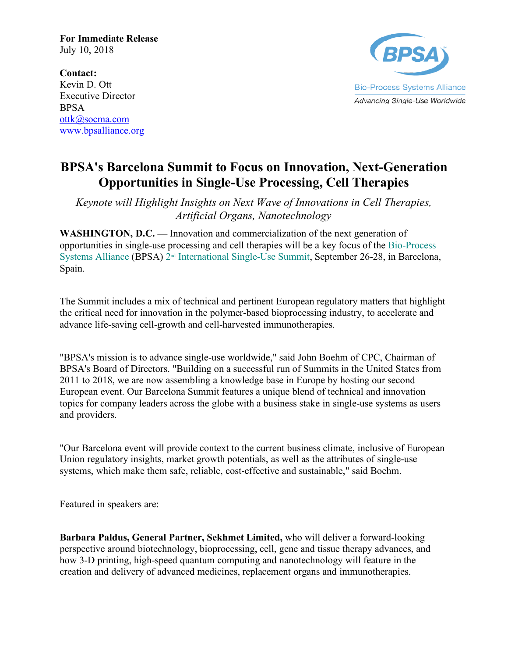**For Immediate Release** July 10, 2018

**Bio-Process Systems Alliance** Advancing Single-Use Worldwide

**Contact:**  Kevin D. Ott Executive Director **BPSA** ottk@socma.com www.bpsalliance.org

## **BPSA's Barcelona Summit to Focus on Innovation, Next-Generation Opportunities in Single-Use Processing, Cell Therapies**

*Keynote will Highlight Insights on Next Wave of Innovations in Cell Therapies, Artificial Organs, Nanotechnology*

**WASHINGTON, D.C. —** Innovation and commercialization of the next generation of opportunities in single-use processing and cell therapies will be a key focus of the Bio-Process Systems Alliance (BPSA) 2nd International Single-Use Summit, September 26-28, in Barcelona, Spain.

The Summit includes a mix of technical and pertinent European regulatory matters that highlight the critical need for innovation in the polymer-based bioprocessing industry, to accelerate and advance life-saving cell-growth and cell-harvested immunotherapies.

"BPSA's mission is to advance single-use worldwide," said John Boehm of CPC, Chairman of BPSA's Board of Directors. "Building on a successful run of Summits in the United States from 2011 to 2018, we are now assembling a knowledge base in Europe by hosting our second European event. Our Barcelona Summit features a unique blend of technical and innovation topics for company leaders across the globe with a business stake in single-use systems as users and providers.

"Our Barcelona event will provide context to the current business climate, inclusive of European Union regulatory insights, market growth potentials, as well as the attributes of single-use systems, which make them safe, reliable, cost-effective and sustainable," said Boehm.

Featured in speakers are:

**Barbara Paldus, General Partner, Sekhmet Limited,** who will deliver a forward-looking perspective around biotechnology, bioprocessing, cell, gene and tissue therapy advances, and how 3-D printing, high-speed quantum computing and nanotechnology will feature in the creation and delivery of advanced medicines, replacement organs and immunotherapies.